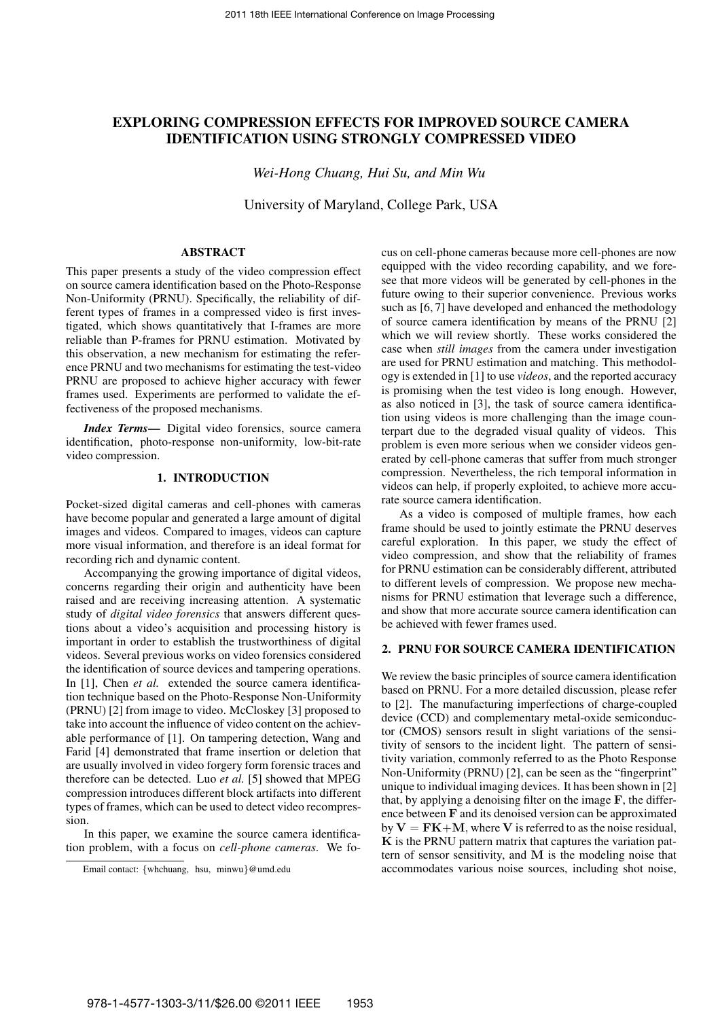# **EXPLORING COMPRESSION EFFECTS FOR IMPROVED SOURCE CAMERA IDENTIFICATION USING STRONGLY COMPRESSED VIDEO**

*Wei-Hong Chuang, Hui Su, and Min Wu*

University of Maryland, College Park, USA

# **ABSTRACT**

This paper presents a study of the video compression effect on source camera identification based on the Photo-Response Non-Uniformity (PRNU). Specifically, the reliability of different types of frames in a compressed video is first investigated, which shows quantitatively that I-frames are more reliable than P-frames for PRNU estimation. Motivated by this observation, a new mechanism for estimating the reference PRNU and two mechanisms for estimating the test-video PRNU are proposed to achieve higher accuracy with fewer frames used. Experiments are performed to validate the effectiveness of the proposed mechanisms.

*Index Terms***—** Digital video forensics, source camera identification, photo-response non-uniformity, low-bit-rate video compression.

### **1. INTRODUCTION**

Pocket-sized digital cameras and cell-phones with cameras have become popular and generated a large amount of digital images and videos. Compared to images, videos can capture more visual information, and therefore is an ideal format for recording rich and dynamic content.

Accompanying the growing importance of digital videos, concerns regarding their origin and authenticity have been raised and are receiving increasing attention. A systematic study of *digital video forensics* that answers different questions about a video's acquisition and processing history is important in order to establish the trustworthiness of digital videos. Several previous works on video forensics considered the identification of source devices and tampering operations. In [1], Chen *et al.* extended the source camera identification technique based on the Photo-Response Non-Uniformity (PRNU) [2] from image to video. McCloskey [3] proposed to take into account the influence of video content on the achievable performance of [1]. On tampering detection, Wang and Farid [4] demonstrated that frame insertion or deletion that are usually involved in video forgery form forensic traces and therefore can be detected. Luo *et al.* [5] showed that MPEG compression introduces different block artifacts into different types of frames, which can be used to detect video recompression.

In this paper, we examine the source camera identification problem, with a focus on *cell-phone cameras*. We focus on cell-phone cameras because more cell-phones are now equipped with the video recording capability, and we foresee that more videos will be generated by cell-phones in the future owing to their superior convenience. Previous works such as [6, 7] have developed and enhanced the methodology of source camera identification by means of the PRNU [2] which we will review shortly. These works considered the case when *still images* from the camera under investigation are used for PRNU estimation and matching. This methodology is extended in [1] to use *videos*, and the reported accuracy is promising when the test video is long enough. However, as also noticed in [3], the task of source camera identification using videos is more challenging than the image counterpart due to the degraded visual quality of videos. This problem is even more serious when we consider videos generated by cell-phone cameras that suffer from much stronger compression. Nevertheless, the rich temporal information in videos can help, if properly exploited, to achieve more accurate source camera identification.

As a video is composed of multiple frames, how each frame should be used to jointly estimate the PRNU deserves careful exploration. In this paper, we study the effect of video compression, and show that the reliability of frames for PRNU estimation can be considerably different, attributed to different levels of compression. We propose new mechanisms for PRNU estimation that leverage such a difference, and show that more accurate source camera identification can be achieved with fewer frames used.

#### **2. PRNU FOR SOURCE CAMERA IDENTIFICATION**

We review the basic principles of source camera identification based on PRNU. For a more detailed discussion, please refer to [2]. The manufacturing imperfections of charge-coupled device (CCD) and complementary metal-oxide semiconductor (CMOS) sensors result in slight variations of the sensitivity of sensors to the incident light. The pattern of sensitivity variation, commonly referred to as the Photo Response Non-Uniformity (PRNU) [2], can be seen as the "fingerprint" unique to individual imaging devices. It has been shown in [2] that, by applying a denoising filter on the image  $\mathbf F$ , the difference between F and its denoised version can be approximated by  $V = FK+M$ , where V is referred to as the noise residual,  $K$  is the PRNU pattern matrix that captures the variation pattern of sensor sensitivity, and  $M$  is the modeling noise that accommodates various noise sources, including shot noise,

Email contact: {whchuang, hsu, minwu}@umd.edu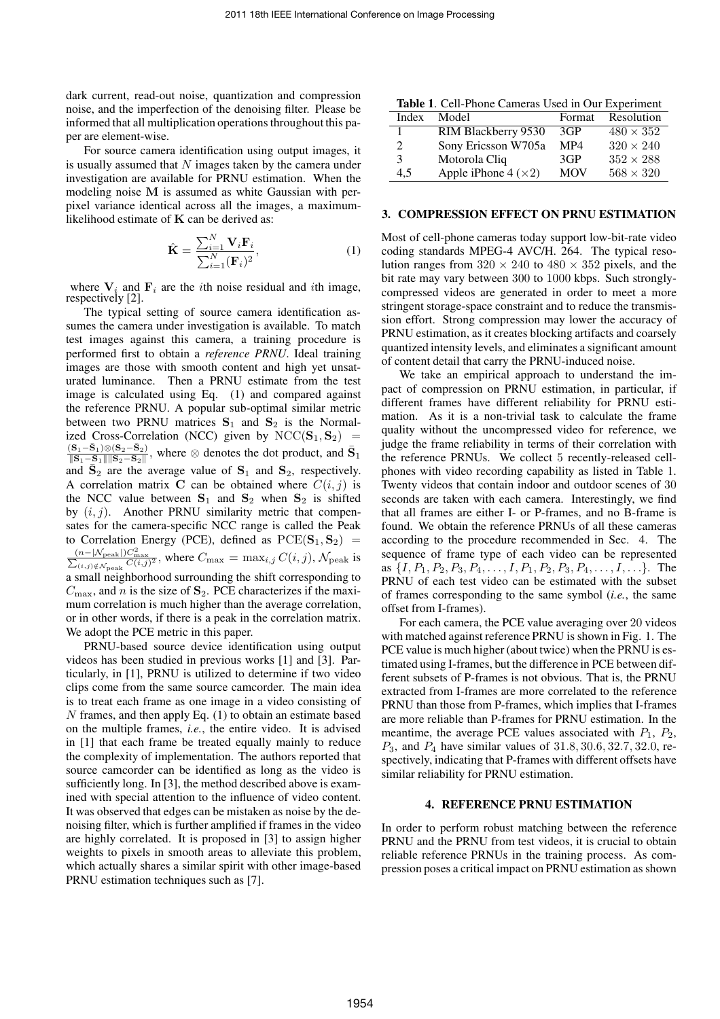dark current, read-out noise, quantization and compression noise, and the imperfection of the denoising filter. Please be informed that all multiplication operations throughout this paper are element-wise.

For source camera identification using output images, it is usually assumed that  $N$  images taken by the camera under investigation are available for PRNU estimation. When the modeling noise M is assumed as white Gaussian with perpixel variance identical across all the images, a maximumlikelihood estimate of  $K$  can be derived as:

$$
\hat{\mathbf{K}} = \frac{\sum_{i=1}^{N} \mathbf{V}_i \mathbf{F}_i}{\sum_{i=1}^{N} (\mathbf{F}_i)^2},
$$
\n(1)

where  $V_i$  and  $F_i$  are the *i*th noise residual and *i*th image, respectively [2].

The typical setting of source camera identification assumes the camera under investigation is available. To match test images against this camera, a training procedure is performed first to obtain a *reference PRNU*. Ideal training images are those with smooth content and high yet unsaturated luminance. Then a PRNU estimate from the test image is calculated using Eq. (1) and compared against the reference PRNU. A popular sub-optimal similar metric between two PRNU matrices  $S_1$  and  $S_2$  is the Normalized Cross-Correlation (NCC) given by  $NCC(S_1, S_2)$  =  $({\bf S}_1-{\bar{\bf S}}_1)\!\otimes\! ({\bf S}_2-{\bar{\bf S}}_2)$  $\frac{(S_1-S_1) \otimes (S_2-S_2)}{\|S_1-S_1\|\|S_2-S_2\|}$ , where ⊗ denotes the dot product, and  $\bar{S}_1$ and  $\bar{S}_2$  are the average value of  $S_1$  and  $S_2$ , respectively. A correlation matrix C can be obtained where  $C(i, j)$  is the NCC value between  $S_1$  and  $S_2$  when  $S_2$  is shifted by  $(i, j)$ . Another PRNU similarity metric that compensates for the camera-specific NCC range is called the Peak to Correlation Energy (PCE), defined as  $PCE(S_1, S_2)$  =  $\frac{(n-|N_{\text{peak}}|)C_{\text{max}}^2}{\sum_{(i,j)\notin N_{\text{peak}}} C(i,j)^2}$ , where  $C_{\text{max}} = \max_{i,j} C(i,j)$ ,  $\mathcal{N}_{\text{peak}}$  is a small neighborhood surrounding the shift corresponding to  $C_{\text{max}}$ , and n is the size of  $S_2$ . PCE characterizes if the maximum correlation is much higher than the average correlation, or in other words, if there is a peak in the correlation matrix. We adopt the PCE metric in this paper.

PRNU-based source device identification using output videos has been studied in previous works [1] and [3]. Particularly, in [1], PRNU is utilized to determine if two video clips come from the same source camcorder. The main idea is to treat each frame as one image in a video consisting of N frames, and then apply Eq. (1) to obtain an estimate based on the multiple frames, *i.e.*, the entire video. It is advised in [1] that each frame be treated equally mainly to reduce the complexity of implementation. The authors reported that source camcorder can be identified as long as the video is sufficiently long. In [3], the method described above is examined with special attention to the influence of video content. It was observed that edges can be mistaken as noise by the denoising filter, which is further amplified if frames in the video are highly correlated. It is proposed in [3] to assign higher weights to pixels in smooth areas to alleviate this problem, which actually shares a similar spirit with other image-based PRNU estimation techniques such as [7].

| Table 1. Cell-Phone Cameras Used in Our Experiment |                             |            |                  |
|----------------------------------------------------|-----------------------------|------------|------------------|
| Index                                              | Model                       | Format     | Resolution       |
|                                                    | RIM Blackberry 9530         | 3GP        | $480 \times 352$ |
| 2                                                  | Sony Ericsson W705a         | MP4        | $320 \times 240$ |
| 3                                                  | Motorola Cliq               | 3GP        | $352 \times 288$ |
| 4.5                                                | Apple iPhone 4 $(\times 2)$ | <b>MOV</b> | $568 \times 320$ |

#### **3. COMPRESSION EFFECT ON PRNU ESTIMATION**

Most of cell-phone cameras today support low-bit-rate video coding standards MPEG-4 AVC/H. 264. The typical resolution ranges from  $320 \times 240$  to  $480 \times 352$  pixels, and the bit rate may vary between 300 to 1000 kbps. Such stronglycompressed videos are generated in order to meet a more stringent storage-space constraint and to reduce the transmission effort. Strong compression may lower the accuracy of PRNU estimation, as it creates blocking artifacts and coarsely quantized intensity levels, and eliminates a significant amount of content detail that carry the PRNU-induced noise.

We take an empirical approach to understand the impact of compression on PRNU estimation, in particular, if different frames have different reliability for PRNU estimation. As it is a non-trivial task to calculate the frame quality without the uncompressed video for reference, we judge the frame reliability in terms of their correlation with the reference PRNUs. We collect 5 recently-released cellphones with video recording capability as listed in Table 1. Twenty videos that contain indoor and outdoor scenes of 30 seconds are taken with each camera. Interestingly, we find that all frames are either I- or P-frames, and no B-frame is found. We obtain the reference PRNUs of all these cameras according to the procedure recommended in Sec. 4. The sequence of frame type of each video can be represented as  $\{I, P_1, P_2, P_3, P_4, \ldots, I, P_1, P_2, P_3, P_4, \ldots, I, \ldots\}$ . The PRNU of each test video can be estimated with the subset of frames corresponding to the same symbol (*i.e.*, the same offset from I-frames).

For each camera, the PCE value averaging over 20 videos with matched against reference PRNU is shown in Fig. 1. The PCE value is much higher (about twice) when the PRNU is estimated using I-frames, but the difference in PCE between different subsets of P-frames is not obvious. That is, the PRNU extracted from I-frames are more correlated to the reference PRNU than those from P-frames, which implies that I-frames are more reliable than P-frames for PRNU estimation. In the meantime, the average PCE values associated with  $P_1$ ,  $P_2$ ,  $P_3$ , and  $P_4$  have similar values of 31.8, 30.6, 32.7, 32.0, respectively, indicating that P-frames with different offsets have similar reliability for PRNU estimation.

#### **4. REFERENCE PRNU ESTIMATION**

In order to perform robust matching between the reference PRNU and the PRNU from test videos, it is crucial to obtain reliable reference PRNUs in the training process. As compression poses a critical impact on PRNU estimation as shown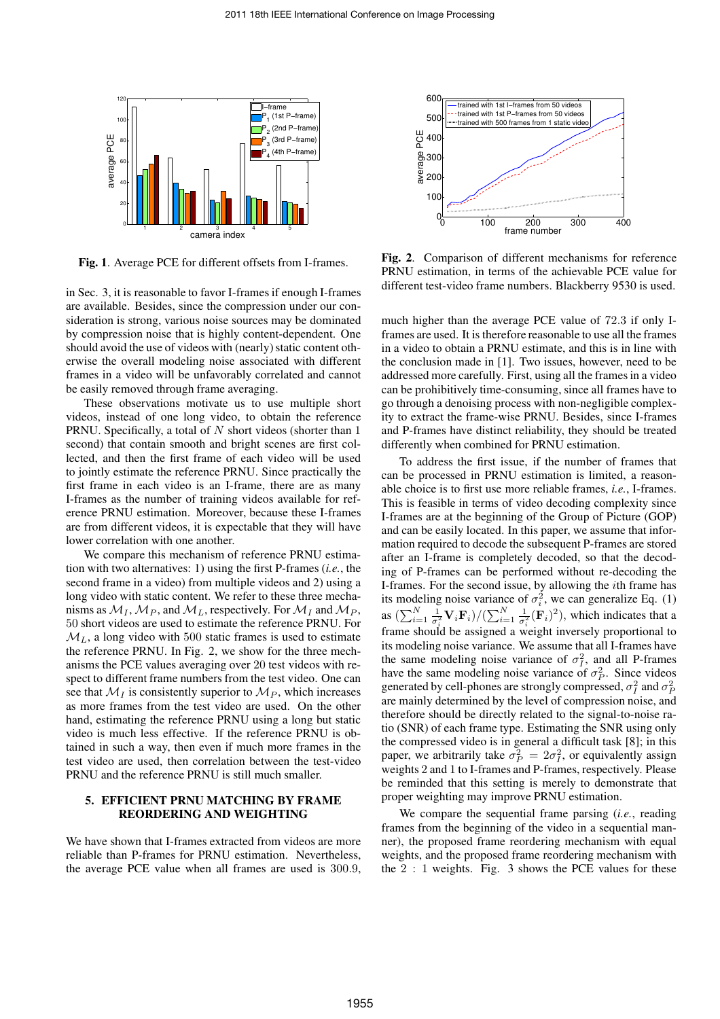

**Fig. 1**. Average PCE for different offsets from I-frames.

in Sec. 3, it is reasonable to favor I-frames if enough I-frames are available. Besides, since the compression under our consideration is strong, various noise sources may be dominated by compression noise that is highly content-dependent. One should avoid the use of videos with (nearly) static content otherwise the overall modeling noise associated with different frames in a video will be unfavorably correlated and cannot be easily removed through frame averaging.

These observations motivate us to use multiple short videos, instead of one long video, to obtain the reference PRNU. Specifically, a total of  $N$  short videos (shorter than  $1$ second) that contain smooth and bright scenes are first collected, and then the first frame of each video will be used to jointly estimate the reference PRNU. Since practically the first frame in each video is an I-frame, there are as many I-frames as the number of training videos available for reference PRNU estimation. Moreover, because these I-frames are from different videos, it is expectable that they will have lower correlation with one another.

We compare this mechanism of reference PRNU estimation with two alternatives: 1) using the first P-frames (*i.e.*, the second frame in a video) from multiple videos and 2) using a long video with static content. We refer to these three mechanisms as  $\mathcal{M}_I$ ,  $\mathcal{M}_P$ , and  $\mathcal{M}_L$ , respectively. For  $\mathcal{M}_I$  and  $\mathcal{M}_P$ , 50 short videos are used to estimate the reference PRNU. For  $M<sub>L</sub>$ , a long video with 500 static frames is used to estimate the reference PRNU. In Fig. 2, we show for the three mechanisms the PCE values averaging over 20 test videos with respect to different frame numbers from the test video. One can see that  $\mathcal{M}_I$  is consistently superior to  $\mathcal{M}_P$ , which increases as more frames from the test video are used. On the other hand, estimating the reference PRNU using a long but static video is much less effective. If the reference PRNU is obtained in such a way, then even if much more frames in the test video are used, then correlation between the test-video PRNU and the reference PRNU is still much smaller.

# **5. EFFICIENT PRNU MATCHING BY FRAME REORDERING AND WEIGHTING**

We have shown that I-frames extracted from videos are more reliable than P-frames for PRNU estimation. Nevertheless, the average PCE value when all frames are used is 300.9,



**Fig. 2**. Comparison of different mechanisms for reference PRNU estimation, in terms of the achievable PCE value for different test-video frame numbers. Blackberry 9530 is used.

much higher than the average PCE value of 72.3 if only Iframes are used. It is therefore reasonable to use all the frames in a video to obtain a PRNU estimate, and this is in line with the conclusion made in [1]. Two issues, however, need to be addressed more carefully. First, using all the frames in a video can be prohibitively time-consuming, since all frames have to go through a denoising process with non-negligible complexity to extract the frame-wise PRNU. Besides, since I-frames and P-frames have distinct reliability, they should be treated differently when combined for PRNU estimation.

To address the first issue, if the number of frames that can be processed in PRNU estimation is limited, a reasonable choice is to first use more reliable frames, *i.e.*, I-frames. This is feasible in terms of video decoding complexity since I-frames are at the beginning of the Group of Picture (GOP) and can be easily located. In this paper, we assume that information required to decode the subsequent P-frames are stored after an I-frame is completely decoded, so that the decoding of P-frames can be performed without re-decoding the I-frames. For the second issue, by allowing the ith frame has its modeling noise variance of  $\sigma_i^2$ , we can generalize Eq. (1) as  $(\sum_{i=1}^N \frac{1}{\sigma_i^2} \mathbf{V}_i \mathbf{F}_i)/(\sum_{i=1}^N \frac{1}{\sigma_i^2} (\mathbf{F}_i)^2)$ , which indicates that a frame should be assigned a weight inversely proportional to its modeling noise variance. We assume that all I-frames have the same modeling noise variance of  $\sigma_I^2$ , and all P-frames have the same modeling noise variance of  $\sigma_P^2$ . Since videos generated by cell-phones are strongly compressed,  $\sigma_I^2$  and  $\sigma_P^2$ are mainly determined by the level of compression noise, and therefore should be directly related to the signal-to-noise ratio (SNR) of each frame type. Estimating the SNR using only the compressed video is in general a difficult task [8]; in this paper, we arbitrarily take  $\sigma_P^2 = 2\sigma_I^2$ , or equivalently assign weights 2 and 1 to I-frames and P-frames, respectively. Please be reminded that this setting is merely to demonstrate that proper weighting may improve PRNU estimation.

We compare the sequential frame parsing (*i.e.*, reading frames from the beginning of the video in a sequential manner), the proposed frame reordering mechanism with equal weights, and the proposed frame reordering mechanism with the  $2:1$  weights. Fig. 3 shows the PCE values for these